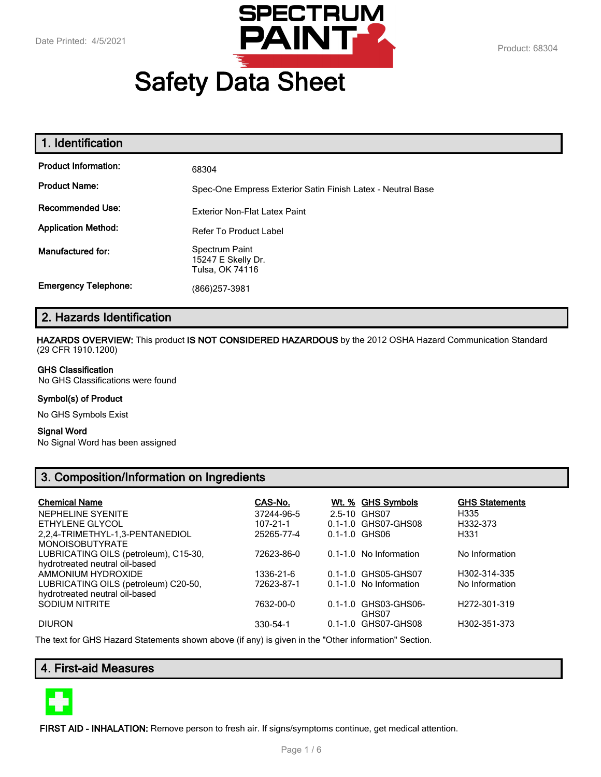

# **Safety Data Sheet**

| 1. Identification           |                                                             |
|-----------------------------|-------------------------------------------------------------|
| <b>Product Information:</b> | 68304                                                       |
| <b>Product Name:</b>        | Spec-One Empress Exterior Satin Finish Latex - Neutral Base |
| <b>Recommended Use:</b>     | Exterior Non-Flat Latex Paint                               |
| <b>Application Method:</b>  | <b>Refer To Product Label</b>                               |
| Manufactured for:           | Spectrum Paint<br>15247 E Skelly Dr.<br>Tulsa, OK 74116     |
| <b>Emergency Telephone:</b> | (866)257-3981                                               |

# **2. Hazards Identification**

**HAZARDS OVERVIEW:** This product **IS NOT CONSIDERED HAZARDOUS** by the 2012 OSHA Hazard Communication Standard (29 CFR 1910.1200)

#### **GHS Classification**

No GHS Classifications were found

#### **Symbol(s) of Product**

No GHS Symbols Exist

#### **Signal Word**

No Signal Word has been assigned

# **3. Composition/Information on Ingredients**

| <b>Chemical Name</b>                                                    | CAS-No.    | <u>Wt. % GHS Symbols</u>      | <b>GHS Statements</b>     |
|-------------------------------------------------------------------------|------------|-------------------------------|---------------------------|
| NEPHELINE SYENITE                                                       | 37244-96-5 | 2.5-10 GHS07                  | H335                      |
| ETHYLENE GLYCOL                                                         | 107-21-1   | 0.1-1.0 GHS07-GHS08           | H332-373                  |
| 2,2,4-TRIMETHYL-1,3-PENTANEDIOL<br><b>MONOISOBUTYRATE</b>               | 25265-77-4 | 0.1-1.0 GHS06                 | H331                      |
| LUBRICATING OILS (petroleum), C15-30,<br>hydrotreated neutral oil-based | 72623-86-0 | 0.1-1.0 No Information        | No Information            |
| AMMONIUM HYDROXIDE                                                      | 1336-21-6  | 0.1-1.0 GHS05-GHS07           | H302-314-335              |
| LUBRICATING OILS (petroleum) C20-50,<br>hydrotreated neutral oil-based  | 72623-87-1 | 0.1-1.0 No Information        | No Information            |
| <b>SODIUM NITRITE</b>                                                   | 7632-00-0  | 0.1-1.0 GHS03-GHS06-<br>GHS07 | H <sub>272</sub> -301-319 |
| <b>DIURON</b>                                                           | 330-54-1   | 0.1-1.0 GHS07-GHS08           | H302-351-373              |

The text for GHS Hazard Statements shown above (if any) is given in the "Other information" Section.

# **4. First-aid Measures**



**FIRST AID - INHALATION:** Remove person to fresh air. If signs/symptoms continue, get medical attention.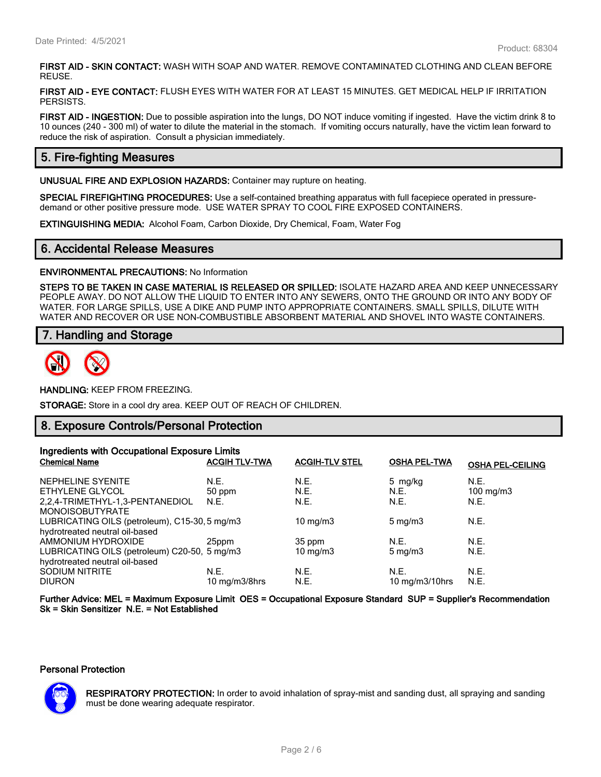**FIRST AID - SKIN CONTACT:** WASH WITH SOAP AND WATER. REMOVE CONTAMINATED CLOTHING AND CLEAN BEFORE REUSE.

**FIRST AID - EYE CONTACT:** FLUSH EYES WITH WATER FOR AT LEAST 15 MINUTES. GET MEDICAL HELP IF IRRITATION PERSISTS.

**FIRST AID - INGESTION:** Due to possible aspiration into the lungs, DO NOT induce vomiting if ingested. Have the victim drink 8 to 10 ounces (240 - 300 ml) of water to dilute the material in the stomach. If vomiting occurs naturally, have the victim lean forward to reduce the risk of aspiration. Consult a physician immediately.

# **5. Fire-fighting Measures**

**UNUSUAL FIRE AND EXPLOSION HAZARDS:** Container may rupture on heating.

**SPECIAL FIREFIGHTING PROCEDURES:** Use a self-contained breathing apparatus with full facepiece operated in pressuredemand or other positive pressure mode. USE WATER SPRAY TO COOL FIRE EXPOSED CONTAINERS.

**EXTINGUISHING MEDIA:** Alcohol Foam, Carbon Dioxide, Dry Chemical, Foam, Water Fog

#### **6. Accidental Release Measures**

**ENVIRONMENTAL PRECAUTIONS:** No Information

**STEPS TO BE TAKEN IN CASE MATERIAL IS RELEASED OR SPILLED:** ISOLATE HAZARD AREA AND KEEP UNNECESSARY PEOPLE AWAY. DO NOT ALLOW THE LIQUID TO ENTER INTO ANY SEWERS, ONTO THE GROUND OR INTO ANY BODY OF WATER. FOR LARGE SPILLS, USE A DIKE AND PUMP INTO APPROPRIATE CONTAINERS. SMALL SPILLS, DILUTE WITH WATER AND RECOVER OR USE NON-COMBUSTIBLE ABSORBENT MATERIAL AND SHOVEL INTO WASTE CONTAINERS.

## **7. Handling and Storage**



**HANDLING:** KEEP FROM FREEZING.

**STORAGE:** Store in a cool dry area. KEEP OUT OF REACH OF CHILDREN.

### **8. Exposure Controls/Personal Protection**

| Ingredients with Occupational Exposure Limits |                      |                       |                     |                         |
|-----------------------------------------------|----------------------|-----------------------|---------------------|-------------------------|
| <b>Chemical Name</b>                          | <b>ACGIH TLV-TWA</b> | <b>ACGIH-TLV STEL</b> | <b>OSHA PEL-TWA</b> | <b>OSHA PEL-CEILING</b> |
| NEPHELINE SYENITE                             | N.E.                 | N.E.                  | 5 mg/kg             | N.E.                    |
| ETHYLENE GLYCOL                               | 50 ppm               | N.E.                  | N.E.                | 100 mg/m $3$            |
| 2.2.4-TRIMETHYL-1.3-PENTANEDIOL               | N.E.                 | N.E.                  | N.E.                | N.E.                    |
| <b>MONOISOBUTYRATE</b>                        |                      |                       |                     |                         |
| LUBRICATING OILS (petroleum), C15-30, 5 mg/m3 |                      | 10 mg/m $3$           | $5 \text{ mg/m}$    | N.E.                    |
| hydrotreated neutral oil-based                |                      |                       |                     |                         |
| AMMONIUM HYDROXIDE                            | 25ppm                | 35 ppm                | N.F.                | N.E.                    |
| LUBRICATING OILS (petroleum) C20-50, 5 mg/m3  |                      | $10 \text{ mg/m}$     | $5 \text{ mg/m}$    | N.E.                    |
| hydrotreated neutral oil-based                |                      |                       |                     |                         |
| <b>SODIUM NITRITE</b>                         | N.E.                 | N.E.                  | N.E.                | N.E.                    |
| <b>DIURON</b>                                 | 10 mg/m3/8hrs        | N.E.                  | 10 $mg/m3/10$ hrs   | N.E.                    |

**Further Advice: MEL = Maximum Exposure Limit OES = Occupational Exposure Standard SUP = Supplier's Recommendation Sk = Skin Sensitizer N.E. = Not Established**

#### **Personal Protection**



**RESPIRATORY PROTECTION:** In order to avoid inhalation of spray-mist and sanding dust, all spraying and sanding must be done wearing adequate respirator.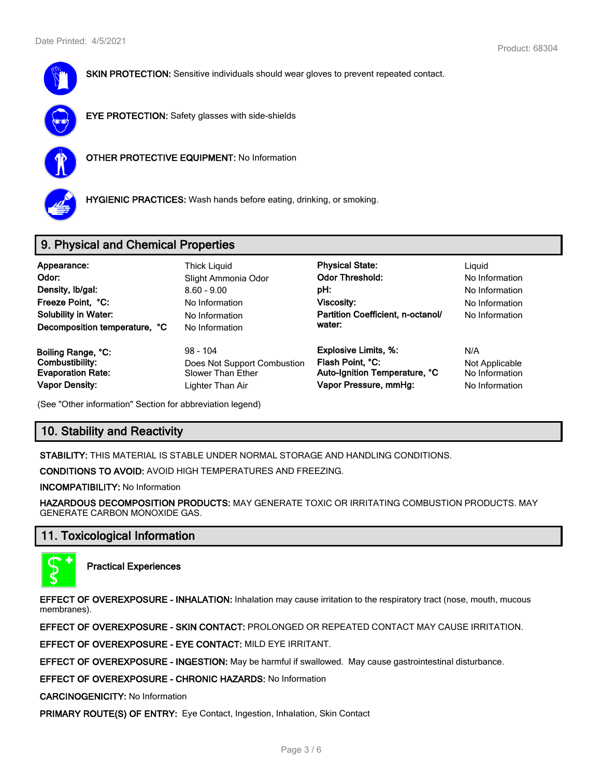

**SKIN PROTECTION:** Sensitive individuals should wear gloves to prevent repeated contact.



**EYE PROTECTION:** Safety glasses with side-shields



**OTHER PROTECTIVE EQUIPMENT:** No Information



**HYGIENIC PRACTICES:** Wash hands before eating, drinking, or smoking.

# **9. Physical and Chemical Properties**

| Appearance:<br>Odor:<br>Density, Ib/gal:<br>Freeze Point, °C:<br><b>Solubility in Water:</b><br>Decomposition temperature, °C | <b>Thick Liguid</b><br>Slight Ammonia Odor<br>$8.60 - 9.00$<br>No Information<br>No Information<br>No Information | <b>Physical State:</b><br><b>Odor Threshold:</b><br>pH:<br>Viscosity:<br>Partition Coefficient, n-octanol/<br>water: | Liguid<br>No Information<br>No Information<br>No Information<br>No Information |
|-------------------------------------------------------------------------------------------------------------------------------|-------------------------------------------------------------------------------------------------------------------|----------------------------------------------------------------------------------------------------------------------|--------------------------------------------------------------------------------|
| Boiling Range, °C:                                                                                                            | $98 - 104$                                                                                                        | <b>Explosive Limits, %:</b>                                                                                          | N/A                                                                            |
| Combustibility:                                                                                                               | Does Not Support Combustion                                                                                       | Flash Point, °C:                                                                                                     | Not Applicable                                                                 |
| <b>Evaporation Rate:</b>                                                                                                      | Slower Than Ether                                                                                                 | Auto-Ignition Temperature, °C                                                                                        | No Information                                                                 |
| <b>Vapor Density:</b>                                                                                                         | Lighter Than Air                                                                                                  | Vapor Pressure, mmHg:                                                                                                | No Information                                                                 |

(See "Other information" Section for abbreviation legend)

# **10. Stability and Reactivity**

**STABILITY:** THIS MATERIAL IS STABLE UNDER NORMAL STORAGE AND HANDLING CONDITIONS.

**CONDITIONS TO AVOID:** AVOID HIGH TEMPERATURES AND FREEZING.

**INCOMPATIBILITY:** No Information

**HAZARDOUS DECOMPOSITION PRODUCTS:** MAY GENERATE TOXIC OR IRRITATING COMBUSTION PRODUCTS. MAY GENERATE CARBON MONOXIDE GAS.

# **11. Toxicological Information**



**Practical Experiences**

**EFFECT OF OVEREXPOSURE - INHALATION:** Inhalation may cause irritation to the respiratory tract (nose, mouth, mucous membranes).

**EFFECT OF OVEREXPOSURE - SKIN CONTACT:** PROLONGED OR REPEATED CONTACT MAY CAUSE IRRITATION.

**EFFECT OF OVEREXPOSURE - EYE CONTACT:** MILD EYE IRRITANT.

**EFFECT OF OVEREXPOSURE - INGESTION:** May be harmful if swallowed. May cause gastrointestinal disturbance.

**EFFECT OF OVEREXPOSURE - CHRONIC HAZARDS:** No Information

**CARCINOGENICITY:** No Information

**PRIMARY ROUTE(S) OF ENTRY:** Eye Contact, Ingestion, Inhalation, Skin Contact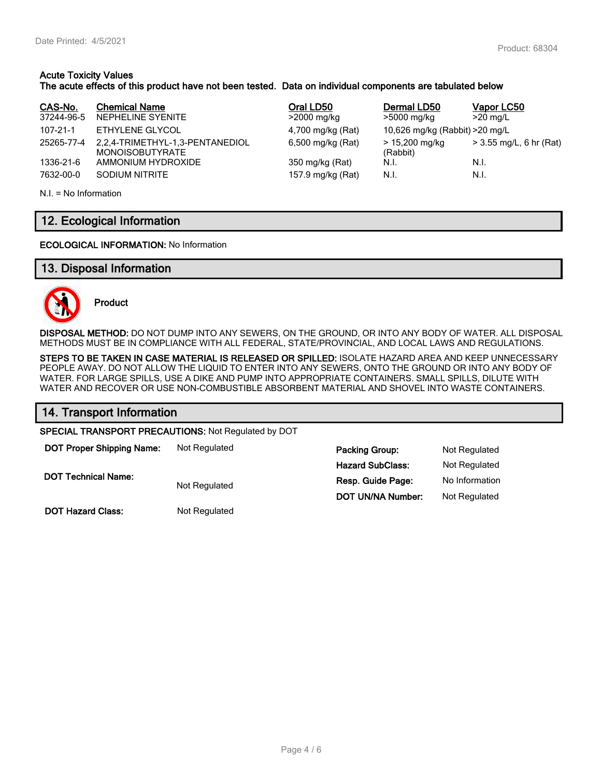## **Acute Toxicity Values The acute effects of this product have not been tested. Data on individual components are tabulated below**

| CAS-No.<br>37244-96-5 | <b>Chemical Name</b><br>NEPHELINE SYENITE                 | Oral LD50<br>>2000 mg/kg | Dermal LD50<br>>5000 mg/kg      | Vapor LC50<br>$>20$ mg/L  |
|-----------------------|-----------------------------------------------------------|--------------------------|---------------------------------|---------------------------|
| 107-21-1              | ETHYLENE GLYCOL                                           | 4,700 mg/kg (Rat)        | 10,626 mg/kg (Rabbit) > 20 mg/L |                           |
| 25265-77-4            | 2,2,4-TRIMETHYL-1,3-PENTANEDIOL<br><b>MONOISOBUTYRATE</b> | 6,500 mg/kg (Rat)        | > 15,200 mg/kg<br>(Rabbit)      | $>$ 3.55 mg/L, 6 hr (Rat) |
| 1336-21-6             | AMMONIUM HYDROXIDE                                        | 350 mg/kg (Rat)          | N.I.                            | N.I.                      |
| 7632-00-0             | SODIUM NITRITE                                            | 157.9 mg/kg (Rat)        | N.I.                            | N.I.                      |

N.I. = No Information

# **12. Ecological Information**

**ECOLOGICAL INFORMATION:** No Information

# **13. Disposal Information**



**Product**

**DISPOSAL METHOD:** DO NOT DUMP INTO ANY SEWERS, ON THE GROUND, OR INTO ANY BODY OF WATER. ALL DISPOSAL METHODS MUST BE IN COMPLIANCE WITH ALL FEDERAL, STATE/PROVINCIAL, AND LOCAL LAWS AND REGULATIONS.

**STEPS TO BE TAKEN IN CASE MATERIAL IS RELEASED OR SPILLED:** ISOLATE HAZARD AREA AND KEEP UNNECESSARY PEOPLE AWAY. DO NOT ALLOW THE LIQUID TO ENTER INTO ANY SEWERS, ONTO THE GROUND OR INTO ANY BODY OF WATER. FOR LARGE SPILLS, USE A DIKE AND PUMP INTO APPROPRIATE CONTAINERS. SMALL SPILLS, DILUTE WITH WATER AND RECOVER OR USE NON-COMBUSTIBLE ABSORBENT MATERIAL AND SHOVEL INTO WASTE CONTAINERS.

# **14. Transport Information**

**SPECIAL TRANSPORT PRECAUTIONS:** Not Regulated by DOT

**DOT Proper Shipping Name:** Not Regulated **Packing Group:** Not Regulated **Hazard SubClass:** Not Regulated **DOT Technical Name:** Not Regulated **Resp. Guide Page:** No Information **DOT UN/NA Number:** Not Regulated

**DOT Hazard Class:** Not Regulated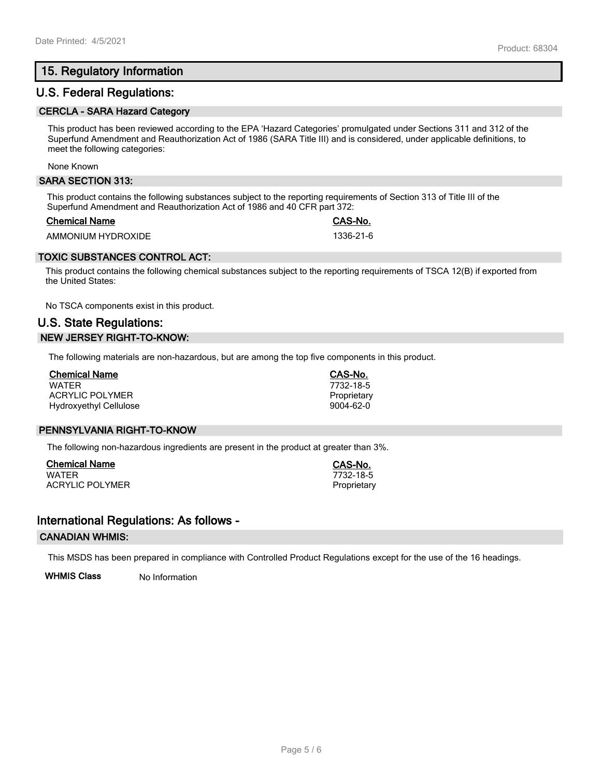# **15. Regulatory Information**

# **U.S. Federal Regulations:**

#### **CERCLA - SARA Hazard Category**

This product has been reviewed according to the EPA 'Hazard Categories' promulgated under Sections 311 and 312 of the Superfund Amendment and Reauthorization Act of 1986 (SARA Title III) and is considered, under applicable definitions, to meet the following categories:

#### None Known

#### **SARA SECTION 313:**

This product contains the following substances subject to the reporting requirements of Section 313 of Title III of the Superfund Amendment and Reauthorization Act of 1986 and 40 CFR part 372:

#### **Chemical Name CAS-No.**

AMMONIUM HYDROXIDE 1336-21-6

## **TOXIC SUBSTANCES CONTROL ACT:**

This product contains the following chemical substances subject to the reporting requirements of TSCA 12(B) if exported from the United States:

No TSCA components exist in this product.

# **U.S. State Regulations: NEW JERSEY RIGHT-TO-KNOW:**

The following materials are non-hazardous, but are among the top five components in this product.

| <b>Chemical Name</b>          |  |
|-------------------------------|--|
| <b>WATFR</b>                  |  |
| ACRYLIC POLYMER               |  |
| <b>Hydroxyethyl Cellulose</b> |  |

#### **PENNSYLVANIA RIGHT-TO-KNOW**

The following non-hazardous ingredients are present in the product at greater than 3%.

**Chemical Name CAS-No.** ACRYLIC POLYMER **Proprietary** Proprietary

## **International Regulations: As follows -**

#### **CANADIAN WHMIS:**

This MSDS has been prepared in compliance with Controlled Product Regulations except for the use of the 16 headings.

**WHMIS Class** No Information

**Chemical Name CAS-No.** WATER 7732-18-5 Proprietary 9004-62-0

 $7732 - 18 - 5$